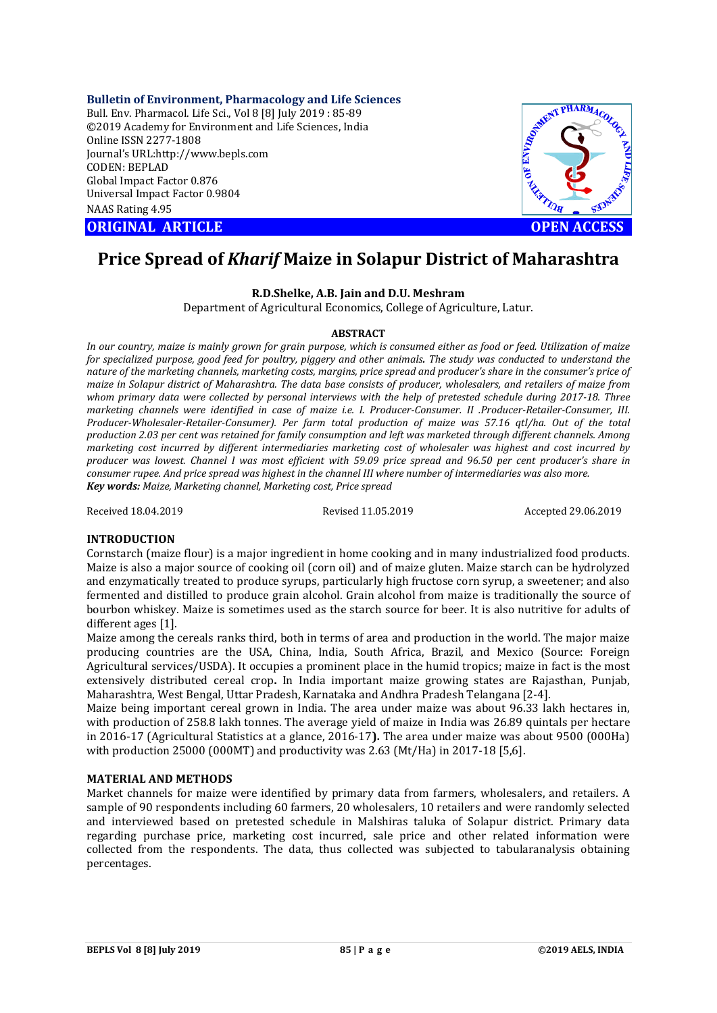**Bulletin of Environment, Pharmacology and Life Sciences**

Bull. Env. Pharmacol. Life Sci., Vol 8 [8] July 2019 : 85-89 ©2019 Academy for Environment and Life Sciences, India Online ISSN 2277-1808 Journal's URL:http://www.bepls.com CODEN: BEPLAD Global Impact Factor 0.876 Universal Impact Factor 0.9804 NAAS Rating 4.95

**CORIGINAL ARTICLE CONSUMING ARTICLE CONSUMING A REPORT OF A LIGHT AND ACCESS** 



# **Price Spread of** *Kharif* **Maize in Solapur District of Maharashtra**

# **R.D.Shelke, A.B. Jain and D.U. Meshram**

Department of Agricultural Economics, College of Agriculture, Latur.

#### **ABSTRACT**

*In our country, maize is mainly grown for grain purpose, which is consumed either as food or feed. Utilization of maize for specialized purpose, good feed for poultry, piggery and other animals. The study was conducted to understand the nature of the marketing channels, marketing costs, margins, price spread and producer's share in the consumer's price of maize in Solapur district of Maharashtra. The data base consists of producer, wholesalers, and retailers of maize from whom primary data were collected by personal interviews with the help of pretested schedule during 2017-18. Three marketing channels were identified in case of maize i.e. I. Producer-Consumer. II .Producer-Retailer-Consumer, III. Producer-Wholesaler-Retailer-Consumer). Per farm total production of maize was 57.16 qtl/ha. Out of the total production 2.03 per cent was retained for family consumption and left was marketed through different channels. Among marketing cost incurred by different intermediaries marketing cost of wholesaler was highest and cost incurred by producer was lowest. Channel I was most efficient with 59.09 price spread and 96.50 per cent producer's share in consumer rupee. And price spread was highest in the channel III where number of intermediaries was also more. Key words: Maize, Marketing channel, Marketing cost, Price spread*

Received 18.04.2019 Revised 11.05.2019 Accepted 29.06.2019

#### **INTRODUCTION**

Cornstarch (maize flour) is a major ingredient in home cooking and in many industrialized food products. Maize is also a major source of cooking oil (corn oil) and of maize gluten. Maize starch can be hydrolyzed and enzymatically treated to produce syrups, particularly high fructose corn syrup, a sweetener; and also fermented and distilled to produce grain alcohol. Grain alcohol from maize is traditionally the source of bourbon whiskey. Maize is sometimes used as the starch source for beer. It is also nutritive for adults of different ages [1].

Maize among the cereals ranks third, both in terms of area and production in the world. The major maize producing countries are the USA, China, India, South Africa, Brazil, and Mexico (Source: Foreign Agricultural services/USDA). It occupies a prominent place in the humid tropics; maize in fact is the most extensively distributed cereal crop**.** In India important maize growing states are Rajasthan, Punjab, Maharashtra, West Bengal, Uttar Pradesh, Karnataka and Andhra Pradesh Telangana [2-4].

Maize being important cereal grown in India. The area under maize was about 96.33 lakh hectares in, with production of 258.8 lakh tonnes. The average yield of maize in India was 26.89 quintals per hectare in 2016-17 (Agricultural Statistics at a glance, 2016-17**).** The area under maize was about 9500 (000Ha) with production 25000 (000MT) and productivity was 2.63 (Mt/Ha) in 2017-18 [5,6].

#### **MATERIAL AND METHODS**

Market channels for maize were identified by primary data from farmers, wholesalers, and retailers. A sample of 90 respondents including 60 farmers, 20 wholesalers, 10 retailers and were randomly selected and interviewed based on pretested schedule in Malshiras taluka of Solapur district. Primary data regarding purchase price, marketing cost incurred, sale price and other related information were collected from the respondents. The data, thus collected was subjected to tabularanalysis obtaining percentages.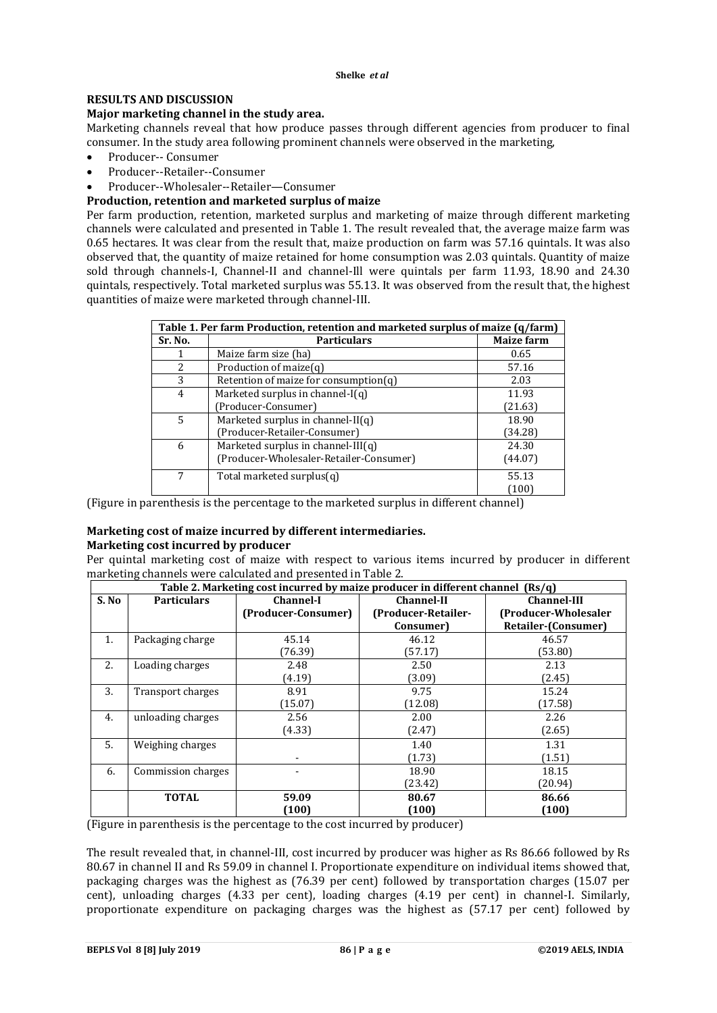#### **Shelke** *et al*

# **RESULTS AND DISCUSSION**

# **Major marketing channel in the study area.**

Marketing channels reveal that how produce passes through different agencies from producer to final consumer. In the study area following prominent channels were observed in the marketing,

- Producer-- Consumer
- Producer--Retailer--Consumer
- Producer--Wholesaler--Retailer—Consumer

# **Production, retention and marketed surplus of maize**

Per farm production, retention, marketed surplus and marketing of maize through different marketing channels were calculated and presented in Table 1. The result revealed that, the average maize farm was 0.65 hectares. It was clear from the result that, maize production on farm was 57.16 quintals. It was also observed that, the quantity of maize retained for home consumption was 2.03 quintals. Quantity of maize sold through channels-I, Channel-II and channel-Ill were quintals per farm 11.93, 18.90 and 24.30 quintals, respectively. Total marketed surplus was 55.13. It was observed from the result that, the highest quantities of maize were marketed through channel-III.

| Table 1. Per farm Production, retention and marketed surplus of maize (q/farm) |                                          |                   |  |
|--------------------------------------------------------------------------------|------------------------------------------|-------------------|--|
| Sr. No.                                                                        | <b>Particulars</b>                       | <b>Maize farm</b> |  |
|                                                                                | Maize farm size (ha)                     | 0.65              |  |
| $\mathcal{L}$                                                                  | Production of maize $(q)$                | 57.16             |  |
| 3                                                                              | Retention of maize for consumption $(q)$ | 2.03              |  |
| 4                                                                              | Marketed surplus in channel- $I(q)$      | 11.93             |  |
|                                                                                | [Producer-Consumer]                      | (21.63)           |  |
| 5                                                                              | Marketed surplus in channel- $II(q)$     | 18.90             |  |
|                                                                                | (Producer-Retailer-Consumer)             | (34.28)           |  |
| 6                                                                              | Marketed surplus in channel- $III(q)$    | 24.30             |  |
|                                                                                | (Producer-Wholesaler-Retailer-Consumer)  | (44.07)           |  |
| 7                                                                              | Total marketed surplus $(q)$             | 55.13<br>(100)    |  |
|                                                                                |                                          |                   |  |

(Figure in parenthesis is the percentage to the marketed surplus in different channel)

#### **Marketing cost of maize incurred by different intermediaries. Marketing cost incurred by producer**

Per quintal marketing cost of maize with respect to various items incurred by producer in different marketing channels were calculated and presented in Table 2.

| Table 2. Marketing cost incurred by maize producer in different channel (Rs/q) |                    |                     |                     |                       |  |
|--------------------------------------------------------------------------------|--------------------|---------------------|---------------------|-----------------------|--|
| S. No                                                                          | <b>Particulars</b> | Channel-I           | <b>Channel-II</b>   | <b>Channel-III</b>    |  |
|                                                                                |                    | (Producer-Consumer) | (Producer-Retailer- | (Producer-Wholesaler) |  |
|                                                                                |                    |                     | Consumer)           | Retailer-(Consumer)   |  |
| 1.                                                                             | Packaging charge   | 45.14               | 46.12               | 46.57                 |  |
|                                                                                |                    | (76.39)             | (57.17)             | (53.80)               |  |
| 2.                                                                             | Loading charges    | 2.48                | 2.50                | 2.13                  |  |
|                                                                                |                    | (4.19)              | (3.09)              | (2.45)                |  |
| 3.                                                                             | Transport charges  | 8.91                | 9.75                | 15.24                 |  |
|                                                                                |                    | (15.07)             | (12.08)             | (17.58)               |  |
| 4.                                                                             | unloading charges  | 2.56                | 2.00                | 2.26                  |  |
|                                                                                |                    | (4.33)              | (2.47)              | (2.65)                |  |
| 5.                                                                             | Weighing charges   |                     | 1.40                | 1.31                  |  |
|                                                                                |                    |                     | (1.73)              | (1.51)                |  |
| 6.                                                                             | Commission charges |                     | 18.90               | 18.15                 |  |
|                                                                                |                    |                     | (23.42)             | (20.94)               |  |
|                                                                                | <b>TOTAL</b>       | 59.09               | 80.67               | 86.66                 |  |
|                                                                                |                    | (100)               | (100)               | (100)                 |  |

(Figure in parenthesis is the percentage to the cost incurred by producer)

The result revealed that, in channel-III, cost incurred by producer was higher as Rs 86.66 followed by Rs 80.67 in channel II and Rs 59.09 in channel I. Proportionate expenditure on individual items showed that, packaging charges was the highest as (76.39 per cent) followed by transportation charges (15.07 per cent), unloading charges (4.33 per cent), loading charges (4.19 per cent) in channel-I. Similarly, proportionate expenditure on packaging charges was the highest as (57.17 per cent) followed by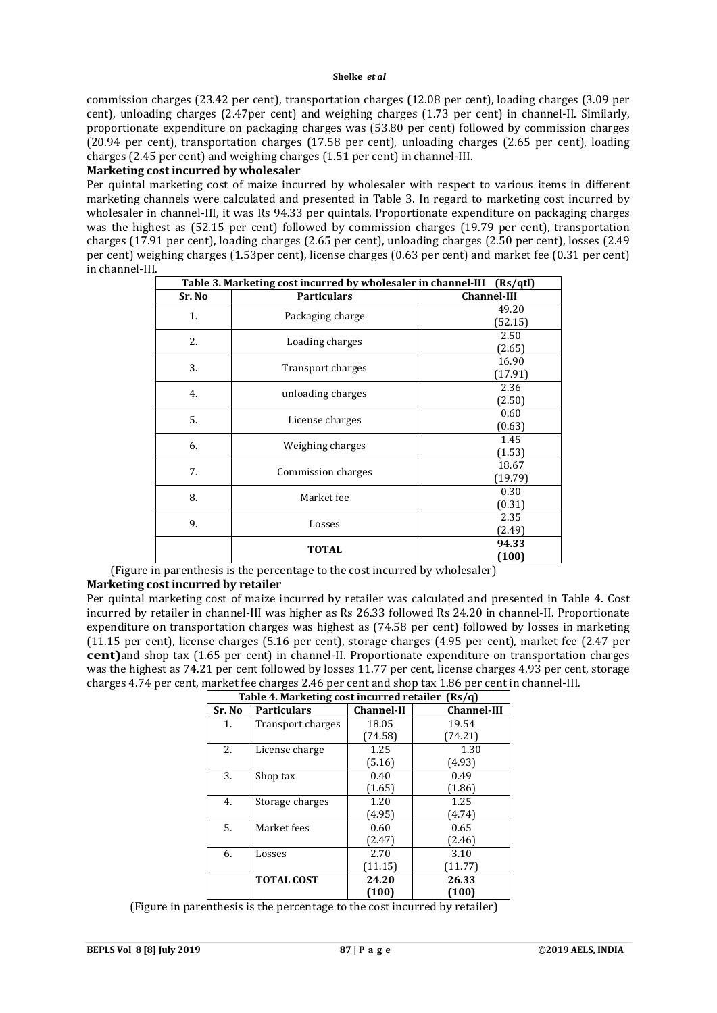commission charges (23.42 per cent), transportation charges (12.08 per cent), loading charges (3.09 per cent), unloading charges (2.47per cent) and weighing charges (1.73 per cent) in channel-II. Similarly, proportionate expenditure on packaging charges was (53.80 per cent) followed by commission charges (20.94 per cent), transportation charges (17.58 per cent), unloading charges (2.65 per cent), loading charges (2.45 per cent) and weighing charges (1.51 per cent) in channel-III.

#### **Marketing cost incurred by wholesaler**

Per quintal marketing cost of maize incurred by wholesaler with respect to various items in different marketing channels were calculated and presented in Table 3. In regard to marketing cost incurred by wholesaler in channel-III, it was Rs 94.33 per quintals. Proportionate expenditure on packaging charges was the highest as (52.15 per cent) followed by commission charges (19.79 per cent), transportation charges (17.91 per cent), loading charges (2.65 per cent), unloading charges (2.50 per cent), losses (2.49 per cent) weighing charges (1.53per cent), license charges (0.63 per cent) and market fee (0.31 per cent) in channel-III.

| Table 3. Marketing cost incurred by wholesaler in channel-III<br>(Rs/qtl) |                                       |                    |  |
|---------------------------------------------------------------------------|---------------------------------------|--------------------|--|
| Sr. No                                                                    | <b>Particulars</b>                    | <b>Channel-III</b> |  |
| 1.                                                                        |                                       | 49.20              |  |
|                                                                           | Packaging charge                      | (52.15)            |  |
| 2.                                                                        | Loading charges                       | 2.50               |  |
|                                                                           |                                       | (2.65)             |  |
| 3.                                                                        | 16.90<br>Transport charges<br>(17.91) |                    |  |
|                                                                           |                                       |                    |  |
| 4.                                                                        | 2.36<br>unloading charges<br>(2.50)   |                    |  |
|                                                                           |                                       |                    |  |
| 5.                                                                        | License charges                       | 0.60               |  |
|                                                                           |                                       | (0.63)             |  |
| 6.                                                                        | Weighing charges                      | 1.45               |  |
|                                                                           |                                       | (1.53)             |  |
| 7.                                                                        | Commission charges                    | 18.67              |  |
|                                                                           |                                       | (19.79)            |  |
| 8.                                                                        | Market fee                            | 0.30               |  |
|                                                                           |                                       | (0.31)             |  |
| 9.                                                                        | Losses                                | 2.35               |  |
|                                                                           |                                       | (2.49)             |  |
|                                                                           | <b>TOTAL</b>                          | 94.33              |  |
|                                                                           |                                       | (100)              |  |

(Figure in parenthesis is the percentage to the cost incurred by wholesaler)

# **Marketing cost incurred by retailer**

Per quintal marketing cost of maize incurred by retailer was calculated and presented in Table 4. Cost incurred by retailer in channel-III was higher as Rs 26.33 followed Rs 24.20 in channel-II. Proportionate expenditure on transportation charges was highest as (74.58 per cent) followed by losses in marketing (11.15 per cent), license charges (5.16 per cent), storage charges (4.95 per cent), market fee (2.47 per **cent)**and shop tax (1.65 per cent) in channel-II. Proportionate expenditure on transportation charges was the highest as 74.21 per cent followed by losses 11.77 per cent, license charges 4.93 per cent, storage charges 4.74 per cent, market fee charges 2.46 per cent and shop tax 1.86 per cent in channel-III.

| Table 4. Marketing cost incurred retailer (Rs/q) |                    |                   |                    |
|--------------------------------------------------|--------------------|-------------------|--------------------|
| Sr. No                                           | <b>Particulars</b> | <b>Channel-II</b> | <b>Channel-III</b> |
| 1.                                               | Transport charges  | 18.05             | 19.54              |
|                                                  |                    | (74.58)           | (74.21)            |
| 2.                                               | License charge     | 1.25              | 1.30               |
|                                                  |                    | (5.16)            | (4.93)             |
| 3.                                               | Shop tax           | 0.40              | 0.49               |
|                                                  |                    | (1.65)            | (1.86)             |
| 4.                                               | Storage charges    | 1.20              | 1.25               |
|                                                  |                    | (4.95)            | (4.74)             |
| 5.                                               | Market fees        | 0.60              | 0.65               |
|                                                  |                    | (2.47)            | (2.46)             |
| 6.                                               | Losses             | 2.70              | 3.10               |
|                                                  |                    | (11.15)           | (11.77)            |
|                                                  | <b>TOTAL COST</b>  | 24.20             | 26.33              |
|                                                  |                    | (100)             | (100)              |

(Figure in parenthesis is the percentage to the cost incurred by retailer)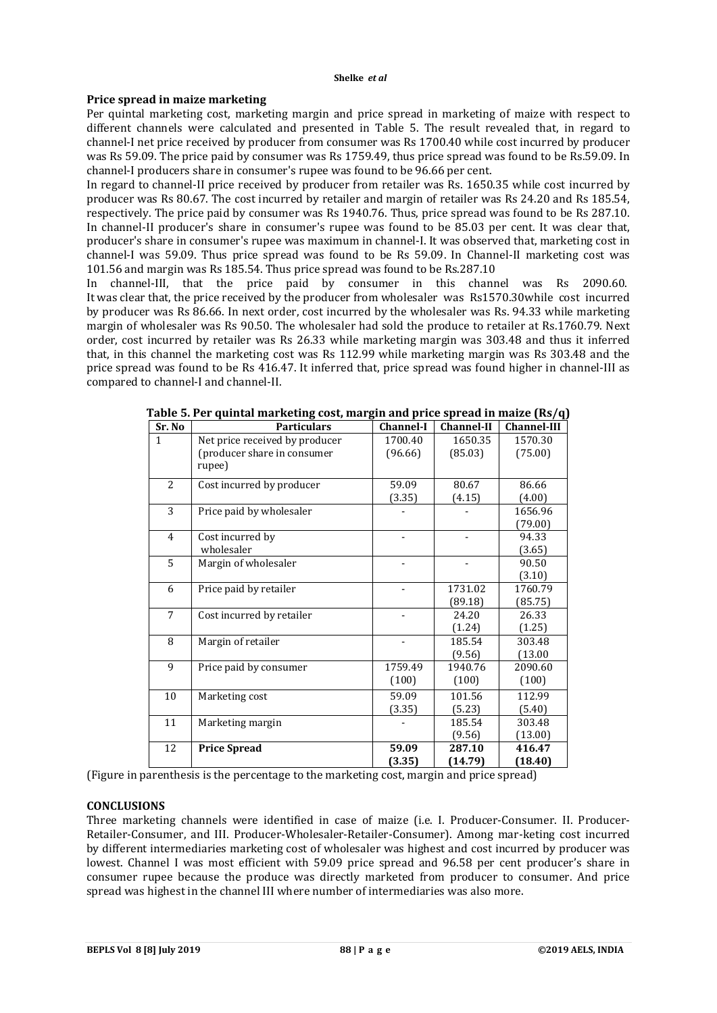#### **Shelke** *et al*

# **Price spread in maize marketing**

Per quintal marketing cost, marketing margin and price spread in marketing of maize with respect to different channels were calculated and presented in Table 5. The result revealed that, in regard to channel-I net price received by producer from consumer was Rs 1700.40 while cost incurred by producer was Rs 59.09. The price paid by consumer was Rs 1759.49, thus price spread was found to be Rs.59.09. In channel-I producers share in consumer's rupee was found to be 96.66 per cent.

In regard to channel-II price received by producer from retailer was Rs. 1650.35 while cost incurred by producer was Rs 80.67. The cost incurred by retailer and margin of retailer was Rs 24.20 and Rs 185.54, respectively. The price paid by consumer was Rs 1940.76. Thus, price spread was found to be Rs 287.10. In channel-II producer's share in consumer's rupee was found to be 85.03 per cent. It was clear that, producer's share in consumer's rupee was maximum in channel-I. It was observed that, marketing cost in channel-I was 59.09. Thus price spread was found to be Rs 59.09. In Channel-II marketing cost was 101.56 and margin was Rs 185.54. Thus price spread was found to be Rs.287.10

In channel-III, that the price paid by consumer in this channel was Rs 2090.60. It was clear that, the price received by the producer from wholesaler was Rs1570.30while cost incurred by producer was Rs 86.66. In next order, cost incurred by the wholesaler was Rs. 94.33 while marketing margin of wholesaler was Rs 90.50. The wholesaler had sold the produce to retailer at Rs.1760.79. Next order, cost incurred by retailer was Rs 26.33 while marketing margin was 303.48 and thus it inferred that, in this channel the marketing cost was Rs 112.99 while marketing margin was Rs 303.48 and the price spread was found to be Rs 416.47. It inferred that, price spread was found higher in channel-III as compared to channel-I and channel-II.

| Sr. No         | <b>Particulars</b>             | <b>Channel-I</b> | <b>Channel-II</b> | <b>Channel-III</b> |
|----------------|--------------------------------|------------------|-------------------|--------------------|
| $\mathbf{1}$   | Net price received by producer | 1700.40          | 1650.35           | 1570.30            |
|                | (producer share in consumer    | (96.66)          | (85.03)           | (75.00)            |
|                | rupee)                         |                  |                   |                    |
| $\overline{2}$ | Cost incurred by producer      | 59.09            | 80.67             | 86.66              |
|                |                                | (3.35)           | (4.15)            | (4.00)             |
| 3              | Price paid by wholesaler       |                  |                   | 1656.96            |
|                |                                |                  |                   | (79.00)            |
| $\overline{4}$ | Cost incurred by               |                  |                   | 94.33              |
|                | wholesaler                     |                  |                   | (3.65)             |
| 5              | Margin of wholesaler           |                  |                   | 90.50              |
|                |                                |                  |                   | (3.10)             |
| 6              | Price paid by retailer         |                  | 1731.02           | 1760.79            |
|                |                                |                  | (89.18)           | (85.75)            |
| 7              | Cost incurred by retailer      |                  | 24.20             | 26.33              |
|                |                                |                  | (1.24)            | (1.25)             |
| 8              | Margin of retailer             |                  | 185.54            | 303.48             |
|                |                                |                  | (9.56)            | (13.00)            |
| 9              | Price paid by consumer         | 1759.49          | 1940.76           | 2090.60            |
|                |                                | (100)            | (100)             | (100)              |
| 10             | Marketing cost                 | 59.09            | 101.56            | 112.99             |
|                |                                | (3.35)           | (5.23)            | (5.40)             |
| 11             | Marketing margin               |                  | 185.54            | 303.48             |
|                |                                |                  | (9.56)            | (13.00)            |
| 12             | <b>Price Spread</b>            | 59.09            | 287.10            | 416.47             |
|                |                                | (3.35)           | (14.79)           | (18.40)            |

**Table 5. Per quintal marketing cost, margin and price spread in maize (Rs/q)**

(Figure in parenthesis is the percentage to the marketing cost, margin and price spread)

#### **CONCLUSIONS**

Three marketing channels were identified in case of maize (i.e. I. Producer-Consumer. II. Producer-Retailer-Consumer, and III. Producer-Wholesaler-Retailer-Consumer). Among mar-keting cost incurred by different intermediaries marketing cost of wholesaler was highest and cost incurred by producer was lowest. Channel I was most efficient with 59.09 price spread and 96.58 per cent producer's share in consumer rupee because the produce was directly marketed from producer to consumer. And price spread was highest in the channel III where number of intermediaries was also more.